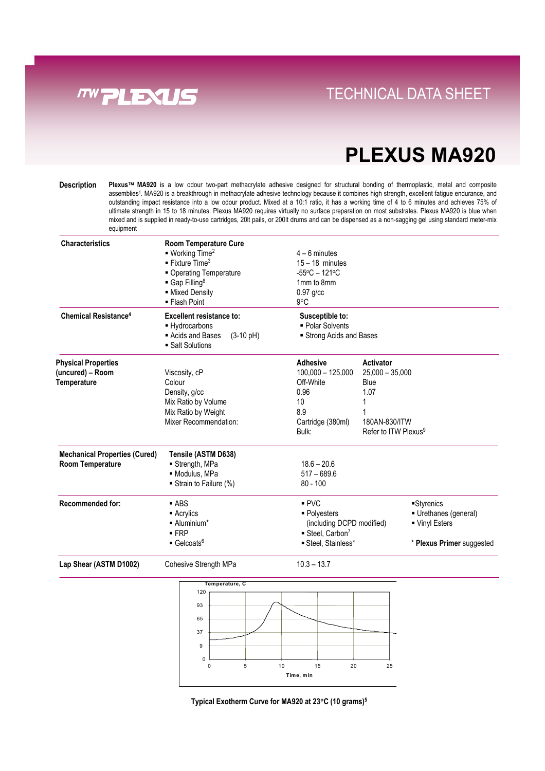

### **Direct Links Convenience With Tray System** TECHNICAL DATA SHEET

## **PLEXUS MA920**

Description Plexus™ MA920 is a low odour two-part methacrylate adhesive designed for structural bonding of thermoplastic, metal and composite assemblies<sup>1</sup>. MA920 is a breakthrough in methacrylate adhesive technology because it combines high strength, excellent fatigue endurance, and outstanding impact resistance into a low odour product. Mixed at a 10:1 ratio, it has a working time of 4 to 6 minutes and achieves 75% of ultimate strength in 15 to 18 minutes. Plexus MA920 requires virtually no surface preparation on most substrates. Plexus MA920 is blue when mixed and is supplied in ready-to-use cartridges, 20lt pails, or 200lt drums and can be dispensed as a non-sagging gel using standard meter-mix equipment

| <b>Characteristics</b>               | <b>Room Temperature Cure</b><br>$\blacksquare$ Working Time <sup>2</sup><br>$\blacksquare$ Fixture Time <sup>3</sup><br>• Operating Temperature<br>$\blacksquare$ Gap Filling <sup>8</sup><br>• Mixed Density<br>■ Flash Point | $4 - 6$ minutes<br>$15 - 18$ minutes<br>$-55^{\circ}$ C - 121 $^{\circ}$ C<br>1mm to 8mm<br>$0.97$ g/cc<br>$9^{\circ}$ C |                                                   |                           |
|--------------------------------------|--------------------------------------------------------------------------------------------------------------------------------------------------------------------------------------------------------------------------------|--------------------------------------------------------------------------------------------------------------------------|---------------------------------------------------|---------------------------|
| Chemical Resistance <sup>4</sup>     | <b>Excellent resistance to:</b><br>- Hydrocarbons<br>Acids and Bases<br>$(3-10 \text{ pH})$<br>■ Salt Solutions                                                                                                                | Susceptible to:<br>• Polar Solvents<br>Strong Acids and Bases                                                            |                                                   |                           |
| <b>Physical Properties</b>           |                                                                                                                                                                                                                                | <b>Adhesive</b>                                                                                                          | Activator                                         |                           |
| (uncured) - Room                     | Viscosity, cP                                                                                                                                                                                                                  | $100,000 - 125,000$                                                                                                      | $25,000 - 35,000$                                 |                           |
| Temperature                          | Colour                                                                                                                                                                                                                         | Off-White                                                                                                                | Blue                                              |                           |
|                                      | Density, g/cc                                                                                                                                                                                                                  | 0.96                                                                                                                     | 1.07                                              |                           |
|                                      | Mix Ratio by Volume                                                                                                                                                                                                            | 10                                                                                                                       |                                                   |                           |
|                                      | Mix Ratio by Weight                                                                                                                                                                                                            | 8.9                                                                                                                      |                                                   |                           |
|                                      | Mixer Recommendation:                                                                                                                                                                                                          | Cartridge (380ml)<br>Bulk:                                                                                               | 180AN-830/ITW<br>Refer to ITW Plexus <sup>9</sup> |                           |
| <b>Mechanical Properties (Cured)</b> | Tensile (ASTM D638)                                                                                                                                                                                                            |                                                                                                                          |                                                   |                           |
| Room Temperature                     | Strength, MPa                                                                                                                                                                                                                  | $18.6 - 20.6$                                                                                                            |                                                   |                           |
|                                      | · Modulus, MPa                                                                                                                                                                                                                 | $517 - 689.6$                                                                                                            |                                                   |                           |
|                                      | Strain to Failure (%)                                                                                                                                                                                                          | $80 - 100$                                                                                                               |                                                   |                           |
| <b>Recommended for:</b>              | $-$ ABS                                                                                                                                                                                                                        | PVC                                                                                                                      |                                                   | Styrenics                 |
|                                      | $\blacksquare$ Acrylics                                                                                                                                                                                                        | • Polyesters                                                                                                             |                                                   | Urethanes (general)       |
|                                      | - Aluminium*                                                                                                                                                                                                                   | (including DCPD modified)                                                                                                |                                                   | ■ Vinyl Esters            |
|                                      | $-FRP$                                                                                                                                                                                                                         | $\blacksquare$ Steel, Carbon <sup>7</sup>                                                                                |                                                   |                           |
|                                      | $\blacksquare$ Gelcoats <sup>6</sup>                                                                                                                                                                                           | Steel, Stainless*                                                                                                        |                                                   | * Plexus Primer suggested |

Lap Shear (ASTM D1002) Cohesive Strength MPa 10.3 - 13.7



**Typical Exotherm Curve for MA920 at 23**°**C (10 grams)5**